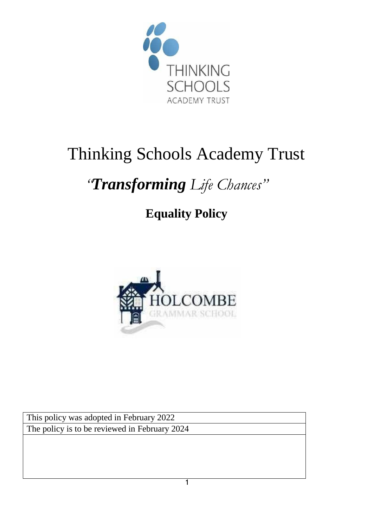

# Thinking Schools Academy Trust

## *"Transforming Life Chances"*

### **Equality Policy**



This policy was adopted in February 2022 The policy is to be reviewed in February 2024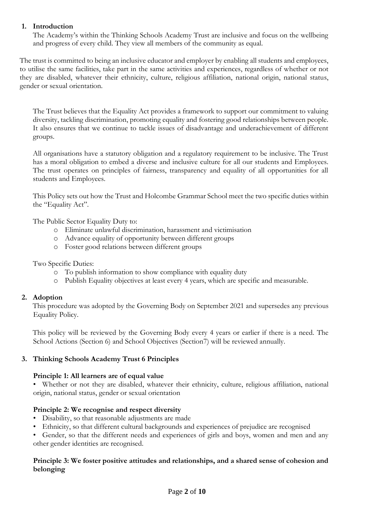#### **1. Introduction**

The Academy's within the Thinking Schools Academy Trust are inclusive and focus on the wellbeing and progress of every child. They view all members of the community as equal.

The trust is committed to being an inclusive educator and employer by enabling all students and employees, to utilise the same facilities, take part in the same activities and experiences, regardless of whether or not they are disabled, whatever their ethnicity, culture, religious affiliation, national origin, national status, gender or sexual orientation.

The Trust believes that the Equality Act provides a framework to support our commitment to valuing diversity, tackling discrimination, promoting equality and fostering good relationships between people. It also ensures that we continue to tackle issues of disadvantage and underachievement of different groups.

All organisations have a statutory obligation and a regulatory requirement to be inclusive. The Trust has a moral obligation to embed a diverse and inclusive culture for all our students and Employees. The trust operates on principles of fairness, transparency and equality of all opportunities for all students and Employees.

This Policy sets out how the Trust and Holcombe Grammar School meet the two specific duties within the "Equality Act".

The Public Sector Equality Duty to:

- o Eliminate unlawful discrimination, harassment and victimisation
- o Advance equality of opportunity between different groups
- o Foster good relations between different groups

Two Specific Duties:

- o To publish information to show compliance with equality duty
- o Publish Equality objectives at least every 4 years, which are specific and measurable.

#### **2. Adoption**

This procedure was adopted by the Governing Body on September 2021 and supersedes any previous Equality Policy.

This policy will be reviewed by the Governing Body every 4 years or earlier if there is a need. The School Actions (Section 6) and School Objectives (Section7) will be reviewed annually.

#### **3. Thinking Schools Academy Trust 6 Principles**

#### **Principle 1: All learners are of equal value**

• Whether or not they are disabled, whatever their ethnicity, culture, religious affiliation, national origin, national status, gender or sexual orientation

#### **Principle 2: We recognise and respect diversity**

- Disability, so that reasonable adjustments are made
- Ethnicity, so that different cultural backgrounds and experiences of prejudice are recognised
- Gender, so that the different needs and experiences of girls and boys, women and men and any other gender identities are recognised.

#### **Principle 3: We foster positive attitudes and relationships, and a shared sense of cohesion and belonging**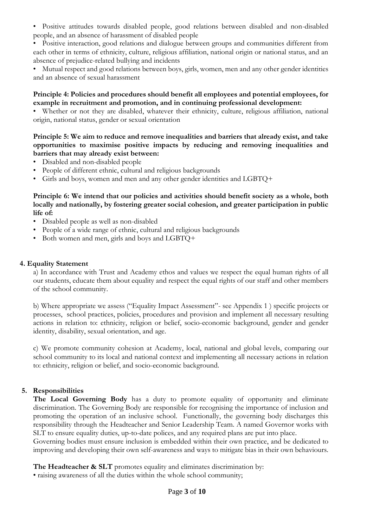- Positive attitudes towards disabled people, good relations between disabled and non-disabled people, and an absence of harassment of disabled people
- Positive interaction, good relations and dialogue between groups and communities different from each other in terms of ethnicity, culture, religious affiliation, national origin or national status, and an absence of prejudice-related bullying and incidents
- Mutual respect and good relations between boys, girls, women, men and any other gender identities and an absence of sexual harassment

#### **Principle 4: Policies and procedures should benefit all employees and potential employees, for example in recruitment and promotion, and in continuing professional development:**

• Whether or not they are disabled, whatever their ethnicity, culture, religious affiliation, national origin, national status, gender or sexual orientation

#### **Principle 5: We aim to reduce and remove inequalities and barriers that already exist, and take opportunities to maximise positive impacts by reducing and removing inequalities and barriers that may already exist between:**

- Disabled and non-disabled people
- People of different ethnic, cultural and religious backgrounds
- Girls and boys, women and men and any other gender identities and LGBTQ+

**Principle 6: We intend that our policies and activities should benefit society as a whole, both locally and nationally, by fostering greater social cohesion, and greater participation in public life of:** 

- Disabled people as well as non-disabled
- People of a wide range of ethnic, cultural and religious backgrounds
- Both women and men, girls and boys and LGBTQ+

#### **4. Equality Statement**

a) In accordance with Trust and Academy ethos and values we respect the equal human rights of all our students, educate them about equality and respect the equal rights of our staff and other members of the school community.

b) Where appropriate we assess ("Equality Impact Assessment"- see Appendix 1 ) specific projects or processes, school practices, policies, procedures and provision and implement all necessary resulting actions in relation to: ethnicity, religion or belief, socio-economic background, gender and gender identity, disability, sexual orientation, and age.

c) We promote community cohesion at Academy, local, national and global levels, comparing our school community to its local and national context and implementing all necessary actions in relation to: ethnicity, religion or belief, and socio-economic background.

#### **5. Responsibilities**

**The Local Governing Body** has a duty to promote equality of opportunity and eliminate discrimination. The Governing Body are responsible for recognising the importance of inclusion and promoting the operation of an inclusive school. Functionally, the governing body discharges this responsibility through the Headteacher and Senior Leadership Team. A named Governor works with SLT to ensure equality duties, up-to-date polices, and any required plans are put into place.

Governing bodies must ensure inclusion is embedded within their own practice, and be dedicated to improving and developing their own self-awareness and ways to mitigate bias in their own behaviours.

The Headteacher & SLT promotes equality and eliminates discrimination by:

• raising awareness of all the duties within the whole school community;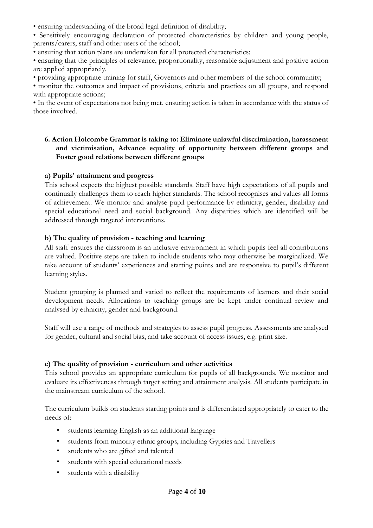• ensuring understanding of the broad legal definition of disability;

• Sensitively encouraging declaration of protected characteristics by children and young people, parents/carers, staff and other users of the school;

• ensuring that action plans are undertaken for all protected characteristics;

• ensuring that the principles of relevance, proportionality, reasonable adjustment and positive action are applied appropriately.

• providing appropriate training for staff, Governors and other members of the school community;

• monitor the outcomes and impact of provisions, criteria and practices on all groups, and respond with appropriate actions;

• In the event of expectations not being met, ensuring action is taken in accordance with the status of those involved.

#### **6. Action Holcombe Grammar is taking to: Eliminate unlawful discrimination, harassment and victimisation, Advance equality of opportunity between different groups and Foster good relations between different groups**

#### **a) Pupils' attainment and progress**

This school expects the highest possible standards. Staff have high expectations of all pupils and continually challenges them to reach higher standards. The school recognises and values all forms of achievement. We monitor and analyse pupil performance by ethnicity, gender, disability and special educational need and social background. Any disparities which are identified will be addressed through targeted interventions.

#### **b) The quality of provision - teaching and learning**

All staff ensures the classroom is an inclusive environment in which pupils feel all contributions are valued. Positive steps are taken to include students who may otherwise be marginalized. We take account of students' experiences and starting points and are responsive to pupil's different learning styles.

Student grouping is planned and varied to reflect the requirements of learners and their social development needs. Allocations to teaching groups are be kept under continual review and analysed by ethnicity, gender and background.

Staff will use a range of methods and strategies to assess pupil progress. Assessments are analysed for gender, cultural and social bias, and take account of access issues, e.g. print size.

#### **c) The quality of provision - curriculum and other activities**

This school provides an appropriate curriculum for pupils of all backgrounds. We monitor and evaluate its effectiveness through target setting and attainment analysis. All students participate in the mainstream curriculum of the school.

The curriculum builds on students starting points and is differentiated appropriately to cater to the needs of:

- students learning English as an additional language
- students from minority ethnic groups, including Gypsies and Travellers
- students who are gifted and talented
- students with special educational needs
- students with a disability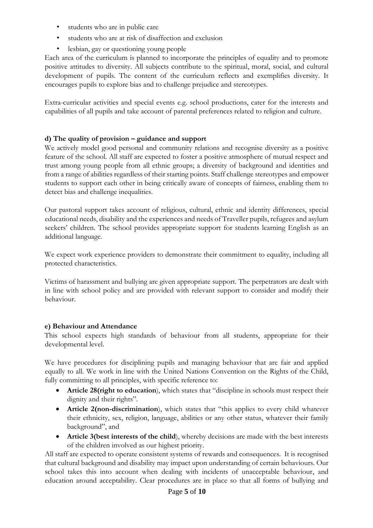- students who are in public care
- students who are at risk of disaffection and exclusion
- lesbian, gay or questioning young people

Each area of the curriculum is planned to incorporate the principles of equality and to promote positive attitudes to diversity. All subjects contribute to the spiritual, moral, social, and cultural development of pupils. The content of the curriculum reflects and exemplifies diversity. It encourages pupils to explore bias and to challenge prejudice and stereotypes.

Extra-curricular activities and special events e.g. school productions, cater for the interests and capabilities of all pupils and take account of parental preferences related to religion and culture.

#### **d) The quality of provision – guidance and support**

We actively model good personal and community relations and recognise diversity as a positive feature of the school. All staff are expected to foster a positive atmosphere of mutual respect and trust among young people from all ethnic groups; a diversity of background and identities and from a range of abilities regardless of their starting points. Staff challenge stereotypes and empower students to support each other in being critically aware of concepts of fairness, enabling them to detect bias and challenge inequalities.

Our pastoral support takes account of religious, cultural, ethnic and identity differences, special educational needs, disability and the experiences and needs of Traveller pupils, refugees and asylum seekers' children. The school provides appropriate support for students learning English as an additional language.

We expect work experience providers to demonstrate their commitment to equality, including all protected characteristics.

Victims of harassment and bullying are given appropriate support. The perpetrators are dealt with in line with school policy and are provided with relevant support to consider and modify their behaviour.

#### **e) Behaviour and Attendance**

This school expects high standards of behaviour from all students, appropriate for their developmental level.

We have procedures for disciplining pupils and managing behaviour that are fair and applied equally to all. We work in line with the United Nations Convention on the Rights of the Child, fully committing to all principles, with specific reference to:

- **Article 28(right to education**), which states that "discipline in schools must respect their dignity and their rights".
- **Article 2(non-discrimination**), which states that "this applies to every child whatever their ethnicity, sex, religion, language, abilities or any other status, whatever their family background", and
- **Article 3(best interests of the child**), whereby decisions are made with the best interests of the children involved as our highest priority.

All staff are expected to operate consistent systems of rewards and consequences. It is recognised that cultural background and disability may impact upon understanding of certain behaviours. Our school takes this into account when dealing with incidents of unacceptable behaviour, and education around acceptability. Clear procedures are in place so that all forms of bullying and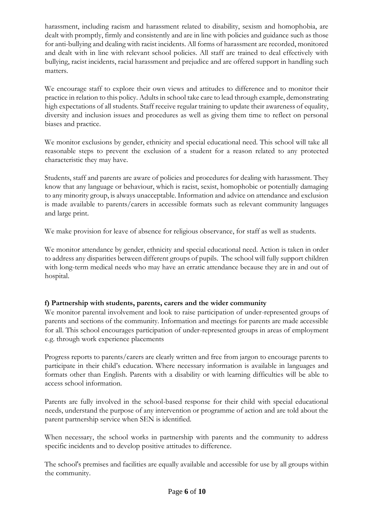harassment, including racism and harassment related to disability, sexism and homophobia, are dealt with promptly, firmly and consistently and are in line with policies and guidance such as those for anti-bullying and dealing with racist incidents. All forms of harassment are recorded, monitored and dealt with in line with relevant school policies. All staff are trained to deal effectively with bullying, racist incidents, racial harassment and prejudice and are offered support in handling such matters.

We encourage staff to explore their own views and attitudes to difference and to monitor their practice in relation to this policy. Adults in school take care to lead through example, demonstrating high expectations of all students. Staff receive regular training to update their awareness of equality, diversity and inclusion issues and procedures as well as giving them time to reflect on personal biases and practice.

We monitor exclusions by gender, ethnicity and special educational need. This school will take all reasonable steps to prevent the exclusion of a student for a reason related to any protected characteristic they may have.

Students, staff and parents are aware of policies and procedures for dealing with harassment. They know that any language or behaviour, which is racist, sexist, homophobic or potentially damaging to any minority group, is always unacceptable. Information and advice on attendance and exclusion is made available to parents/carers in accessible formats such as relevant community languages and large print.

We make provision for leave of absence for religious observance, for staff as well as students.

We monitor attendance by gender, ethnicity and special educational need. Action is taken in order to address any disparities between different groups of pupils. The school will fully support children with long-term medical needs who may have an erratic attendance because they are in and out of hospital.

#### **f) Partnership with students, parents, carers and the wider community**

We monitor parental involvement and look to raise participation of under-represented groups of parents and sections of the community. Information and meetings for parents are made accessible for all. This school encourages participation of under-represented groups in areas of employment e.g. through work experience placements

Progress reports to parents/carers are clearly written and free from jargon to encourage parents to participate in their child's education. Where necessary information is available in languages and formats other than English. Parents with a disability or with learning difficulties will be able to access school information.

Parents are fully involved in the school-based response for their child with special educational needs, understand the purpose of any intervention or programme of action and are told about the parent partnership service when SEN is identified.

When necessary, the school works in partnership with parents and the community to address specific incidents and to develop positive attitudes to difference.

The school's premises and facilities are equally available and accessible for use by all groups within the community.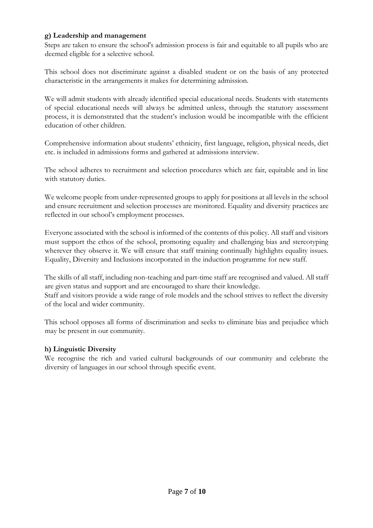#### **g) Leadership and management**

Steps are taken to ensure the school's admission process is fair and equitable to all pupils who are deemed eligible for a selective school.

This school does not discriminate against a disabled student or on the basis of any protected characteristic in the arrangements it makes for determining admission.

We will admit students with already identified special educational needs. Students with statements of special educational needs will always be admitted unless, through the statutory assessment process, it is demonstrated that the student's inclusion would be incompatible with the efficient education of other children.

Comprehensive information about students' ethnicity, first language, religion, physical needs, diet etc. is included in admissions forms and gathered at admissions interview.

The school adheres to recruitment and selection procedures which are fair, equitable and in line with statutory duties.

We welcome people from under-represented groups to apply for positions at all levels in the school and ensure recruitment and selection processes are monitored. Equality and diversity practices are reflected in our school's employment processes.

Everyone associated with the school is informed of the contents of this policy. All staff and visitors must support the ethos of the school, promoting equality and challenging bias and stereotyping wherever they observe it. We will ensure that staff training continually highlights equality issues. Equality, Diversity and Inclusions incorporated in the induction programme for new staff.

The skills of all staff, including non-teaching and part-time staff are recognised and valued. All staff are given status and support and are encouraged to share their knowledge. Staff and visitors provide a wide range of role models and the school strives to reflect the diversity of the local and wider community.

This school opposes all forms of discrimination and seeks to eliminate bias and prejudice which may be present in our community.

#### **h) Linguistic Diversity**

We recognise the rich and varied cultural backgrounds of our community and celebrate the diversity of languages in our school through specific event.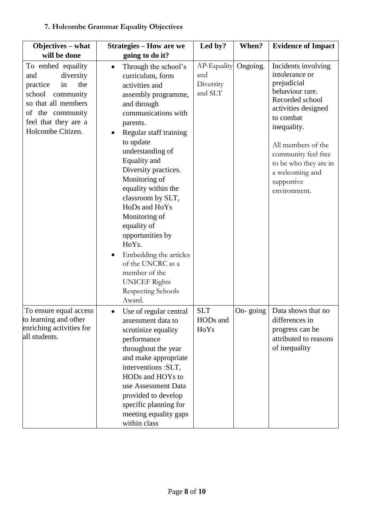#### **Objectives – what will be done Strategies – How are we going to do it? Led by? When? Evidence of Impact**  To embed equality and diversity practice in the school community so that all members of the community feel that they are a Holcombe Citizen. • Through the school's curriculum, form activities and assembly programme, and through communications with parents. • Regular staff training to update understanding of Equality and Diversity practices. Monitoring of equality within the classroom by SLT, HoDs and HoYs Monitoring of equality of opportunities by HoYs. • Embedding the articles of the UNCRC as a member of the UNICEF Rights Respecting Schools Award. AP-Equality and **Diversity** and SLT Ongoing. Incidents involving intolerance or prejudicial behaviour rare. Recorded school activities designed to combat inequality. All members of the community feel free to be who they are in a welcoming and supportive environment. To ensure equal access to learning and other enriching activities for all students. • Use of regular central assessment data to scrutinize equality performance throughout the year and make appropriate interventions :SLT, HODs and HOYs to use Assessment Data provided to develop specific planning for meeting equality gaps within class SLT HODs and HoYs On-going  $\vert$  Data shows that no differences in progress can be attributed to reasons of inequality

### **7. Holcombe Grammar Equality Objectives**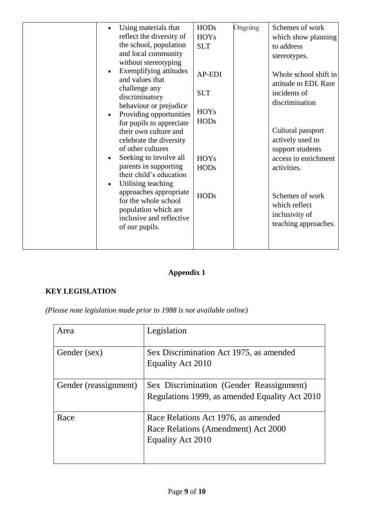| Using materials that                              | <b>HODs</b> | Ongoing | Schemes of work       |
|---------------------------------------------------|-------------|---------|-----------------------|
| reflect the diversity of                          | <b>HOYs</b> |         | which show planning   |
| the school, population                            | <b>SLT</b>  |         | to address            |
| and local community                               |             |         | stereotypes.          |
| without stereotyping                              |             |         |                       |
| Exemplifying attitudes<br>$\bullet$               | AP-EDI      |         | Whole school shift in |
| and values that                                   |             |         | attitude to EDI. Rare |
| challenge any                                     | <b>SLT</b>  |         | incidents of          |
| discriminatory                                    |             |         | discrimination        |
| behaviour or prejudice<br>Providing opportunities | <b>HOYs</b> |         |                       |
| $\bullet$<br>for pupils to appreciate             | <b>HODs</b> |         |                       |
| their own culture and                             |             |         | Cultural passport     |
| celebrate the diversity                           |             |         | actively used to      |
| of other cultures                                 |             |         | support students      |
| Seeking to involve all<br>$\bullet$               | <b>HOYs</b> |         | access to enrichment  |
| parents in supporting                             | <b>HODs</b> |         | activities.           |
| their child's education                           |             |         |                       |
| Utilising teaching                                |             |         |                       |
| approaches appropriate                            | <b>HODs</b> |         | Schemes of work       |
| for the whole school                              |             |         | which reflect         |
| population which are                              |             |         | inclusivity of        |
| inclusive and reflective                          |             |         | teaching approaches.  |
| of our pupils.                                    |             |         |                       |
|                                                   |             |         |                       |
|                                                   |             |         |                       |

### **Appendix 1**

#### **KEY LEGISLATION**

*(Please note legislation made prior to 1988 is not available online)* 

| Area                  | Legislation                                                                                     |
|-----------------------|-------------------------------------------------------------------------------------------------|
| Gender (sex)          | Sex Discrimination Act 1975, as amended<br>Equality Act 2010                                    |
| Gender (reassignment) | Sex Discrimination (Gender Reassignment)<br>Regulations 1999, as amended Equality Act 2010      |
| Race                  | Race Relations Act 1976, as amended<br>Race Relations (Amendment) Act 2000<br>Equality Act 2010 |